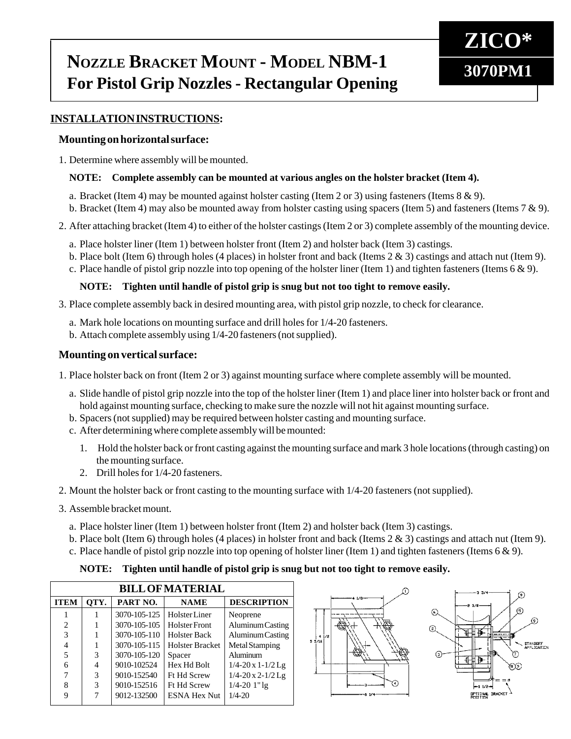# **NOZZLE BRACKET MOUNT - MODEL NBM-1 3070PM1 For Pistol Grip Nozzles - Rectangular Opening**



# **INSTALLATION INSTRUCTIONS:**

#### **Mounting on horizontal surface:**

1. Determine where assembly will be mounted.

#### **NOTE: Complete assembly can be mounted at various angles on the holster bracket (Item 4).**

- a. Bracket (Item 4) may be mounted against holster casting (Item 2 or 3) using fasteners (Items 8 & 9).
- b. Bracket (Item 4) may also be mounted away from holster casting using spacers (Item 5) and fasteners (Items 7 & 9).
- 2. After attaching bracket (Item 4) to either of the holster castings (Item 2 or 3) complete assembly of the mounting device.
	- a. Place holster liner (Item 1) between holster front (Item 2) and holster back (Item 3) castings.
	- b. Place bolt (Item 6) through holes (4 places) in holster front and back (Items 2 & 3) castings and attach nut (Item 9).
	- c. Place handle of pistol grip nozzle into top opening of the holster liner (Item 1) and tighten fasteners (Items  $6 \& 9$ ).

### **NOTE: Tighten until handle of pistol grip is snug but not too tight to remove easily.**

- 3. Place complete assembly back in desired mounting area, with pistol grip nozzle, to check for clearance.
	- a. Mark hole locations on mounting surface and drill holes for 1/4-20 fasteners.
	- b. Attach complete assembly using 1/4-20 fasteners (not supplied).

### **Mounting on vertical surface:**

1. Place holster back on front (Item 2 or 3) against mounting surface where complete assembly will be mounted.

- a. Slide handle of pistol grip nozzle into the top of the holster liner (Item 1) and place liner into holster back or front and hold against mounting surface, checking to make sure the nozzle will not hit against mounting surface.
- b. Spacers (not supplied) may be required between holster casting and mounting surface.
- c. After determining where complete assembly will be mounted:
	- 1. Hold the holster back or front casting against the mounting surface and mark 3 hole locations (through casting) on the mounting surface.
	- 2. Drill holes for 1/4-20 fasteners.
- 2. Mount the holster back or front casting to the mounting surface with 1/4-20 fasteners (not supplied).
- 3. Assemble bracket mount.
	- a. Place holster liner (Item 1) between holster front (Item 2) and holster back (Item 3) castings.
	- b. Place bolt (Item 6) through holes (4 places) in holster front and back (Items 2 & 3) castings and attach nut (Item 9).
	- c. Place handle of pistol grip nozzle into top opening of holster liner (Item 1) and tighten fasteners (Items  $6 \& 9$ ).

### **NOTE: Tighten until handle of pistol grip is snug but not too tight to remove easily.**

| <b>BILL OF MATERIAL</b> |      |              |                        |                        |  |  |
|-------------------------|------|--------------|------------------------|------------------------|--|--|
| <b>ITEM</b>             | OTY. | PART NO.     | <b>NAME</b>            | <b>DESCRIPTION</b>     |  |  |
|                         |      | 3070-105-125 | <b>Holster</b> Liner   | Neoprene               |  |  |
| $\overline{2}$          |      | 3070-105-105 | <b>Holster Front</b>   | Aluminum Casting       |  |  |
| 3                       |      | 3070-105-110 | <b>Holster Back</b>    | Aluminum Casting       |  |  |
| 4                       |      | 3070-105-115 | <b>Holster Bracket</b> | <b>Metal Stamping</b>  |  |  |
| 5                       | 3    | 3070-105-120 | Spacer                 | Aluminum               |  |  |
| 6                       | 4    | 9010-102524  | Hex Hd Bolt            | $1/4 - 20x1 - 1/2$ Lg  |  |  |
| 7                       | 3    | 9010-152540  | <b>Ft Hd Screw</b>     | $1/4 - 20x 2 - 1/2$ Lg |  |  |
| 8                       | 3    | 9010-152516  | Ft Hd Screw            | $1/4 - 20$ $1"$ lg     |  |  |
|                         |      | 9012-132500  | <b>ESNA Hex Nut</b>    | $1/4 - 20$             |  |  |